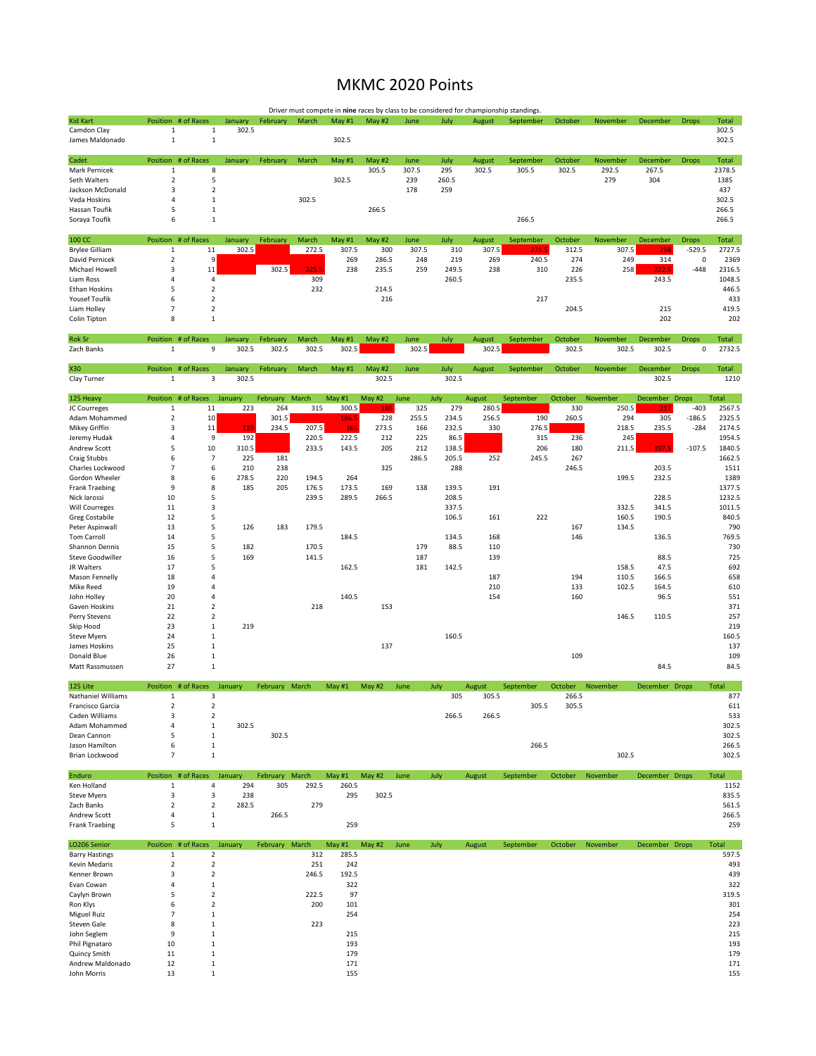## MKMC 2020 Points

|                                        |                             |                                  |                  |                |       |               |                        |              |                | Driver must compete in nine races by class to be considered for championship standings. |           |                |                |                   |                    |                      |
|----------------------------------------|-----------------------------|----------------------------------|------------------|----------------|-------|---------------|------------------------|--------------|----------------|-----------------------------------------------------------------------------------------|-----------|----------------|----------------|-------------------|--------------------|----------------------|
| <b>Kid Kart</b>                        | Position # of Races         |                                  | January          | February       | March | May #1        | May #2                 | June         | July           | August                                                                                  | September | October        | November       | December          | <b>Drops</b>       | <b>Total</b>         |
| Camdon Clay<br>James Maldonado         | $\mathbf{1}$<br>$\,1\,$     | $\mathbf{1}$<br>$\mathbf{1}$     | 302.5            |                |       | 302.5         |                        |              |                |                                                                                         |           |                |                |                   |                    | 302.5<br>302.5       |
| Cadet                                  | Position # of Races         |                                  | January          | February       | March | May #1        | May #2                 | June         | July           | August                                                                                  | September | October        | November       | December          | <b>Drops</b>       | <b>Total</b>         |
| Mark Pernicek                          | $\mathbf{1}$                | 8                                |                  |                |       |               | 305.5                  | 307.5        | 295            | 302.5                                                                                   | 305.5     | 302.5          | 292.5          | 267.5             |                    | 2378.5               |
| Seth Walters                           | $\mathbf 2$                 | 5                                |                  |                |       | 302.5         |                        | 239          | 260.5          |                                                                                         |           |                | 279            | 304               |                    | 1385                 |
| Jackson McDonald                       | 3                           | $\mathbf 2$                      |                  |                |       |               |                        | 178          | 259            |                                                                                         |           |                |                |                   |                    | 437                  |
| Veda Hoskins                           | 4                           | 1                                |                  |                | 302.5 |               |                        |              |                |                                                                                         |           |                |                |                   |                    | 302.5                |
| Hassan Toufik<br>Soraya Toufik         | 5<br>6                      | $\mathbf 1$<br>$\mathbf{1}$      |                  |                |       |               | 266.5                  |              |                |                                                                                         | 266.5     |                |                |                   |                    | 266.5<br>266.5       |
| 100 CC                                 | Position # of Races         |                                  | January          | February       | March | May #1        | May #2                 | June         | July           | August                                                                                  | September | October        | November       | December          | <b>Drops</b>       | Total                |
| <b>Brylee Gilliam</b>                  | $\,1\,$                     | 11                               | 302.5            |                | 272.5 | 307.5         | 300                    | 307.5        | 310            | 307.5                                                                                   | 271.:     | 312.5          | 307.5          | 258               | $-529.5$           | 2727.5               |
| David Pernicek                         | $\overline{2}$              | 9                                |                  |                |       | 269           | 286.5                  | 248          | 219            | 269                                                                                     | 240.5     | 274            | 249            | 314               | 0                  | 2369                 |
| Michael Howell                         | 3                           | 11                               |                  | 302.5          | 225.5 | 238           | 235.5                  | 259          | 249.5          | 238                                                                                     | 310       | 226            | 258            | 222.5             | $-448$             | 2316.5               |
| Liam Ross                              | 4                           | 4                                |                  |                | 309   |               |                        |              | 260.5          |                                                                                         |           | 235.5          |                | 243.5             |                    | 1048.5               |
| <b>Ethan Hoskins</b><br>Yousef Toufik  | 5<br>6                      | $\mathbf 2$<br>$\overline{2}$    |                  |                | 232   |               | 214.5<br>216           |              |                |                                                                                         | 217       |                |                |                   |                    | 446.5<br>433         |
| Liam Holley                            | $\overline{7}$              | $\overline{2}$                   |                  |                |       |               |                        |              |                |                                                                                         |           | 204.5          |                | 215               |                    | 419.5                |
| Colin Tipton                           | 8                           | $1\,$                            |                  |                |       |               |                        |              |                |                                                                                         |           |                |                | 202               |                    | 202                  |
| Rok Sr                                 | Position # of Races         |                                  | January          | February       | March | May #1        | May #2                 | June         | July           | August                                                                                  | September | October        | November       | December          | <b>Drops</b>       | <b>Total</b>         |
| Zach Banks                             | $\mathbf{1}$                | 9                                | 302.5            | 302.5          | 302.5 | 302.5         |                        | 302.5        |                | 302.5                                                                                   |           | 302.5          | 302.5          | 302.5             | 0                  | 2732.5               |
| X30<br>Clay Turner                     | Position # of Races<br>1    | 3                                | January<br>302.5 | February       | March | <b>May #1</b> | <b>May #2</b><br>302.5 | June         | July<br>302.5  | August                                                                                  | September | October        | November       | December<br>302.5 | <b>Drops</b>       | <b>Total</b><br>1210 |
|                                        |                             |                                  |                  |                |       |               |                        |              |                |                                                                                         |           |                |                |                   |                    |                      |
| 125 Heavy                              | Position                    | # of Races                       | January          | February       | March | May $#1$      | May #2                 | June         | July           | August                                                                                  | September | October        | November       | December          | <b>Drops</b>       | Total                |
| JC Courreges<br>Adam Mohammed          | $\mathbf{1}$<br>$\mathbf 2$ | 11<br>10                         | 223              | 264            | 315   | 300.5         | 186                    | 325<br>255.5 | 279            | 280.5<br>256.5                                                                          | 190       | 330<br>260.5   | 250.5<br>294   | 217<br>305        | $-403$<br>$-186.5$ | 2567.5<br>2325.5     |
| Mikey Griffin                          | 3                           | $11\,$                           | 119              | 301.5<br>234.5 | 207.5 | 186.5<br>165  | 228<br>273.5           | 166          | 234.5<br>232.5 | 330                                                                                     | 276.5     |                | 218.5          | 235.5             | $-284$             | 2174.5               |
| Jeremy Hudak                           | 4                           | 9                                | 192              |                | 220.5 | 222.5         | 212                    | 225          | 86.5           |                                                                                         | 315       | 236            | 245            |                   |                    | 1954.5               |
| <b>Andrew Scott</b>                    | 5                           | 10                               | 310.5            |                | 233.5 | 143.5         | 205                    | 212          | 138.5          |                                                                                         | 206       | 180            | 211.5          | 107.5             | $-107.5$           | 1840.5               |
| Craig Stubbs                           | 6                           | $\overline{7}$                   | 225              | 181            |       |               |                        | 286.5        | 205.5          | 252                                                                                     | 245.5     | 267            |                |                   |                    | 1662.5               |
| Charles Lockwood                       | $\overline{7}$              | 6                                | 210              | 238            |       |               | 325                    |              | 288            |                                                                                         |           | 246.5          |                | 203.5             |                    | 1511                 |
| Gordon Wheeler                         | 8                           | 6                                | 278.5            | 220            | 194.5 | 264           |                        |              |                |                                                                                         |           |                | 199.5          | 232.5             |                    | 1389                 |
| <b>Frank Traebing</b>                  | 9                           | 8                                | 185              | 205            | 176.5 | 173.5         | 169                    | 138          | 139.5          | 191                                                                                     |           |                |                |                   |                    | 1377.5               |
| Nick larossi                           | 10                          | 5                                |                  |                | 239.5 | 289.5         | 266.5                  |              | 208.5          |                                                                                         |           |                |                | 228.5             |                    | 1232.5               |
| <b>Will Courreges</b>                  | 11<br>12                    | 3<br>5                           |                  |                |       |               |                        |              | 337.5<br>106.5 | 161                                                                                     | 222       |                | 332.5<br>160.5 | 341.5<br>190.5    |                    | 1011.5<br>840.5      |
| Greg Costabile<br>Peter Aspinwall      | 13                          | 5                                | 126              | 183            | 179.5 |               |                        |              |                |                                                                                         |           | 167            | 134.5          |                   |                    | 790                  |
| <b>Tom Carroll</b>                     | 14                          | 5                                |                  |                |       | 184.5         |                        |              | 134.5          | 168                                                                                     |           | 146            |                | 136.5             |                    | 769.5                |
| Shannon Dennis                         | 15                          | 5                                | 182              |                | 170.5 |               |                        | 179          | 88.5           | 110                                                                                     |           |                |                |                   |                    | 730                  |
| <b>Steve Goodwiller</b>                | 16                          | 5                                | 169              |                | 141.5 |               |                        | 187          |                | 139                                                                                     |           |                |                | 88.5              |                    | 725                  |
| JR Walters                             | 17                          | 5                                |                  |                |       | 162.5         |                        | 181          | 142.5          |                                                                                         |           |                | 158.5          | 47.5              |                    | 692                  |
| Mason Fennelly                         | 18                          | 4                                |                  |                |       |               |                        |              |                | 187                                                                                     |           | 194            | 110.5          | 166.5             |                    | 658                  |
| Mike Reed                              | 19                          | 4                                |                  |                |       |               |                        |              |                | 210                                                                                     |           | 133            | 102.5          | 164.5             |                    | 610                  |
| John Holley                            | 20                          | 4                                |                  |                |       | 140.5         |                        |              |                | 154                                                                                     |           | 160            |                | 96.5              |                    | 551                  |
| Gaven Hoskins<br>Perry Stevens         | 21<br>22                    | $\overline{2}$<br>$\overline{2}$ |                  |                | 218   |               | 153                    |              |                |                                                                                         |           |                | 146.5          | 110.5             |                    | 371<br>257           |
| Skip Hood                              | 23                          | $1\,$                            | 219              |                |       |               |                        |              |                |                                                                                         |           |                |                |                   |                    | 219                  |
| <b>Steve Myers</b>                     | 24                          | $\,1\,$                          |                  |                |       |               |                        |              | 160.5          |                                                                                         |           |                |                |                   |                    | 160.5                |
| James Hoskins                          | 25                          | $\,1\,$                          |                  |                |       |               | 137                    |              |                |                                                                                         |           |                |                |                   |                    | 137                  |
| Donald Blue                            | 26                          | $\mathbf{1}$                     |                  |                |       |               |                        |              |                |                                                                                         |           | 109            |                |                   |                    | 109                  |
| Matt Rassmussen                        | 27                          | $1\,$                            |                  |                |       |               |                        |              |                |                                                                                         |           |                |                | 84.5              |                    | 84.5                 |
| 125 Lite                               | Position                    | # of Races                       | January          | February       | March | May #1        | May #2                 | June         | July           | August                                                                                  | September | October        | November       | December Drops    |                    | Total                |
| Nathaniel Williams<br>Francisco Garcia | 1<br>$\mathbf 2$            | 3<br>$\overline{2}$              |                  |                |       |               |                        |              | 305            | 305.5                                                                                   | 305.5     | 266.5<br>305.5 |                |                   |                    | 877<br>611           |
| Caden Williams                         | 3                           | $\mathbf 2$                      |                  |                |       |               |                        |              | 266.5          | 266.5                                                                                   |           |                |                |                   |                    | 533                  |
| Adam Mohammed                          | 4                           | $\,1\,$                          | 302.5            |                |       |               |                        |              |                |                                                                                         |           |                |                |                   |                    | 302.5                |
| Dean Cannon                            | 5                           | $\mathbf{1}$                     |                  | 302.5          |       |               |                        |              |                |                                                                                         |           |                |                |                   |                    | 302.5                |
| Jason Hamilton                         | 6                           | $\mathbf 1$                      |                  |                |       |               |                        |              |                |                                                                                         | 266.5     |                |                |                   |                    | 266.5                |
| Brian Lockwood                         | $\overline{7}$              | $\mathbf{1}$                     |                  |                |       |               |                        |              |                |                                                                                         |           |                | 302.5          |                   |                    | 302.5                |
| Enduro                                 | Position # of Races January |                                  |                  | February March |       | May #1        | May #2                 | June         | July           | August                                                                                  | September | October        | November       | December Drops    |                    | Total                |
| Ken Holland                            | $\mathbf 1$                 | 4                                | 294              | 305            | 292.5 | 260.5         |                        |              |                |                                                                                         |           |                |                |                   |                    | 1152                 |
| <b>Steve Myers</b><br>Zach Banks       | 3<br>$\overline{2}$         | 3<br>$\overline{2}$              | 238<br>282.5     |                | 279   | 295           | 302.5                  |              |                |                                                                                         |           |                |                |                   |                    | 835.5<br>561.5       |
| Andrew Scott                           | 4                           | $1\,$                            |                  | 266.5          |       |               |                        |              |                |                                                                                         |           |                |                |                   |                    | 266.5                |
| <b>Frank Traebing</b>                  | 5                           | $\mathbf{1}$                     |                  |                |       | 259           |                        |              |                |                                                                                         |           |                |                |                   |                    | 259                  |
| LO206 Senior                           | Position                    | # of Races                       | January          | February       | March | May $#1$      | May #2                 | June         | July           | August                                                                                  | September | October        | November       | December Drops    |                    | Total                |
| <b>Barry Hastings</b>                  | 1                           | $\overline{2}$                   |                  |                | 312   | 285.5         |                        |              |                |                                                                                         |           |                |                |                   |                    | 597.5                |
| Kevin Medaris                          | $\overline{2}$              | $\mathbf 2$                      |                  |                | 251   | 242           |                        |              |                |                                                                                         |           |                |                |                   |                    | 493                  |
| Kenner Brown                           | 3                           | $\overline{2}$                   |                  |                | 246.5 | 192.5         |                        |              |                |                                                                                         |           |                |                |                   |                    | 439                  |
| Evan Cowan<br>Caylyn Brown             | 4<br>5                      | $\,1\,$<br>$\overline{2}$        |                  |                | 222.5 | 322<br>97     |                        |              |                |                                                                                         |           |                |                |                   |                    | 322<br>319.5         |
| Ron Klys                               | 6                           | $\overline{2}$                   |                  |                | 200   | 101           |                        |              |                |                                                                                         |           |                |                |                   |                    | 301                  |
| Miguel Ruiz                            | $\overline{7}$              | $1\,$                            |                  |                |       | 254           |                        |              |                |                                                                                         |           |                |                |                   |                    | 254                  |
| Steven Gale                            | 8                           | $\,1\,$                          |                  |                | 223   |               |                        |              |                |                                                                                         |           |                |                |                   |                    | 223                  |
| John Seglem                            | 9                           | $1\,$                            |                  |                |       | 215           |                        |              |                |                                                                                         |           |                |                |                   |                    | 215                  |
| Phil Pignataro                         | 10                          | $\,1\,$                          |                  |                |       | 193           |                        |              |                |                                                                                         |           |                |                |                   |                    | 193                  |
| Quincy Smith                           | 11                          | $1\,$                            |                  |                |       | 179           |                        |              |                |                                                                                         |           |                |                |                   |                    | 179                  |
| Andrew Maldonado                       | 12                          | $\mathbf 1$                      |                  |                |       | 171           |                        |              |                |                                                                                         |           |                |                |                   |                    | 171                  |
| John Morris                            | 13                          | $\,1\,$                          |                  |                |       | 155           |                        |              |                |                                                                                         |           |                |                |                   |                    | 155                  |